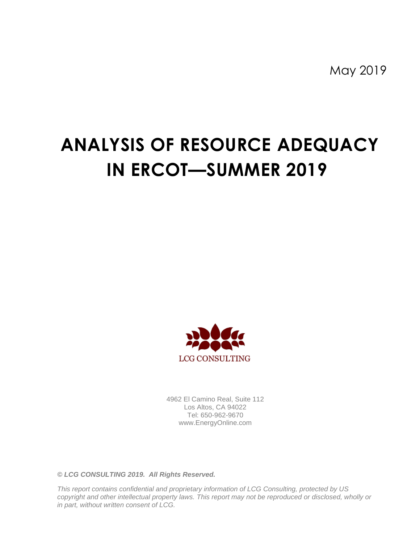May 2019

# **ANALYSIS OF RESOURCE ADEQUACY IN ERCOT—SUMMER 2019**



4962 El Camino Real, Suite 112 Los Altos, CA 94022 Tel: 650-962-9670 www.EnergyOnline.com

*© LCG CONSULTING 2019. All Rights Reserved.*

*This report contains confidential and proprietary information of LCG Consulting, protected by US copyright and other intellectual property laws. This report may not be reproduced or disclosed, wholly or in part, without written consent of LCG.*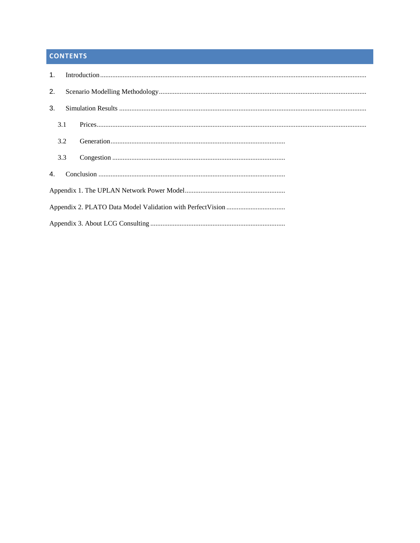# **CONTENTS**

| 1 <sub>1</sub> |     |  |  |  |  |  |  |  |
|----------------|-----|--|--|--|--|--|--|--|
| 2.             |     |  |  |  |  |  |  |  |
| 3.             |     |  |  |  |  |  |  |  |
|                | 3.1 |  |  |  |  |  |  |  |
|                | 3.2 |  |  |  |  |  |  |  |
|                | 3.3 |  |  |  |  |  |  |  |
|                | 4.  |  |  |  |  |  |  |  |
|                |     |  |  |  |  |  |  |  |
|                |     |  |  |  |  |  |  |  |
|                |     |  |  |  |  |  |  |  |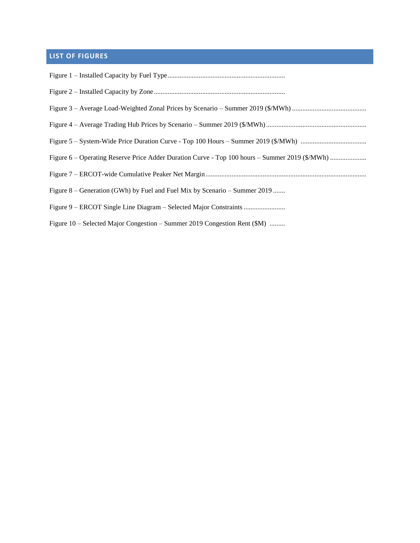# **LIST OF FIGURES**

| Figure 8 – Generation (GWh) by Fuel and Fuel Mix by Scenario – Summer 2019 |
|----------------------------------------------------------------------------|
|                                                                            |
| Figure 10 – Selected Major Congestion – Summer 2019 Congestion Rent (\$M)  |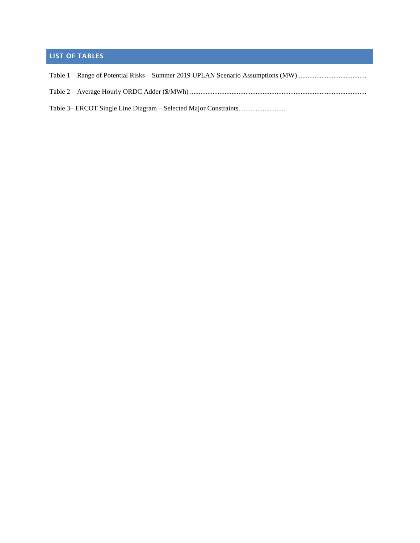# **LIST OF TABLES**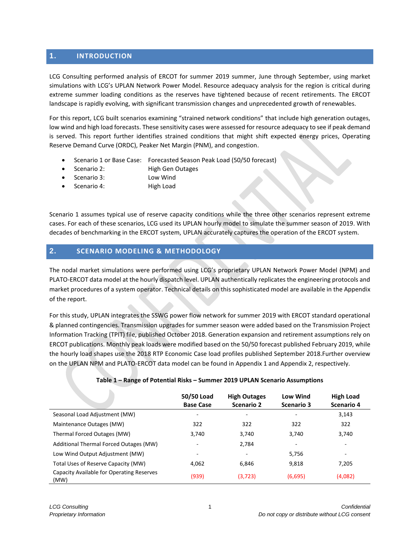## <span id="page-4-0"></span>**1. INTRODUCTION**

LCG Consulting performed analysis of ERCOT for summer 2019 summer, June through September, using market simulations with LCG's UPLAN Network Power Model. Resource adequacy analysis for the region is critical during extreme summer loading conditions as the reserves have tightened because of recent retirements. The ERCOT landscape is rapidly evolving, with significant transmission changes and unprecedented growth of renewables.

For this report, LCG built scenarios examining "strained network conditions" that include high generation outages, low wind and high load forecasts. These sensitivity cases were assessed for resource adequacy to see if peak demand is served. This report further identifies strained conditions that might shift expected energy prices, Operating Reserve Demand Curve (ORDC), Peaker Net Margin (PNM), and congestion.

- Scenario 1 or Base Case: Forecasted Season Peak Load (50/50 forecast)
- Scenario 2: High Gen Outages
	- Scenario 3: Low Wind
- Scenario 4: High Load

Scenario 1 assumes typical use of reserve capacity conditions while the three other scenarios represent extreme cases. For each of these scenarios, LCG used its UPLAN hourly model to simulate the summer season of 2019. With decades of benchmarking in the ERCOT system, UPLAN accurately captures the operation of the ERCOT system.

## <span id="page-4-1"></span>**2. SCENARIO MODELING & METHODOLOGY**

The nodal market simulations were performed using LCG's proprietary UPLAN Network Power Model (NPM) and PLATO-ERCOT data model at the hourly dispatch level. UPLAN authentically replicates the engineering protocols and market procedures of a system operator. Technical details on this sophisticated model are available in the Appendix of the report.

For this study, UPLAN integrates the SSWG power flow network for summer 2019 with ERCOT standard operational & planned contingencies. Transmission upgrades for summer season were added based on the Transmission Project Information Tracking (TPIT) file, published October 2018. Generation expansion and retirement assumptions rely on ERCOT publications. Monthly peak loads were modified based on the 50/50 forecast published February 2019, while the hourly load shapes use the 2018 RTP Economic Case load profiles published September 2018.Further overview on the UPLAN NPM and PLATO-ERCOT data model can be found in Appendix 1 and Appendix 2, respectively.

<span id="page-4-2"></span>

|                                                   | 50/50 Load<br><b>Base Case</b> | <b>High Outages</b><br><b>Scenario 2</b> | <b>Low Wind</b><br><b>Scenario 3</b> | <b>High Load</b><br>Scenario 4 |
|---------------------------------------------------|--------------------------------|------------------------------------------|--------------------------------------|--------------------------------|
| Seasonal Load Adjustment (MW)                     |                                | ٠                                        |                                      | 3,143                          |
| Maintenance Outages (MW)                          | 322                            | 322                                      | 322                                  | 322                            |
| Thermal Forced Outages (MW)                       | 3,740                          | 3.740                                    | 3,740                                | 3,740                          |
| Additional Thermal Forced Outages (MW)            | -                              | 2,784                                    |                                      | $\overline{\phantom{a}}$       |
| Low Wind Output Adjustment (MW)                   | -                              | ٠                                        | 5,756                                | $\overline{\phantom{a}}$       |
| Total Uses of Reserve Capacity (MW)               | 4,062                          | 6.846                                    | 9,818                                | 7,205                          |
| Capacity Available for Operating Reserves<br>(MW) | (939)                          | (3, 723)                                 | (6,695)                              | (4,082)                        |

#### **Table 1 – Range of Potential Risks – Summer 2019 UPLAN Scenario Assumptions**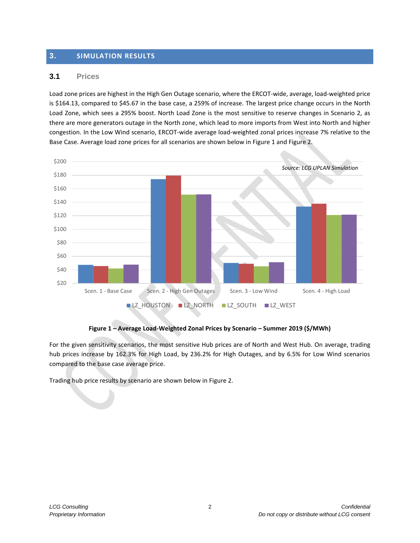### <span id="page-5-0"></span>**3. SIMULATION RESULTS**

#### <span id="page-5-1"></span>**3.1 Prices**

Load zone prices are highest in the High Gen Outage scenario, where the ERCOT-wide, average, load-weighted price is \$164.13, compared to \$45.67 in the base case, a 259% of increase. The largest price change occurs in the North Load Zone, which sees a 295% boost. North Load Zone is the most sensitive to reserve changes in Scenario 2, as there are more generators outage in the North zone, which lead to more imports from West into North and higher congestion. In the Low Wind scenario, ERCOT-wide average load-weighted zonal prices increase 7% relative to the Base Case. Average load zone prices for all scenarios are shown below i[n Figure 1](#page-5-2) and [Figure 2.](#page-6-0)



**Figure 1 – Average Load-Weighted Zonal Prices by Scenario – Summer 2019 (\$/MWh)**

<span id="page-5-2"></span>For the given sensitivity scenarios, the most sensitive Hub prices are of North and West Hub. On average, trading hub prices increase by 162.3% for High Load, by 236.2% for High Outages, and by 6.5% for Low Wind scenarios compared to the base case average price.

Trading hub price results by scenario are shown below in [Figure 2.](#page-6-0)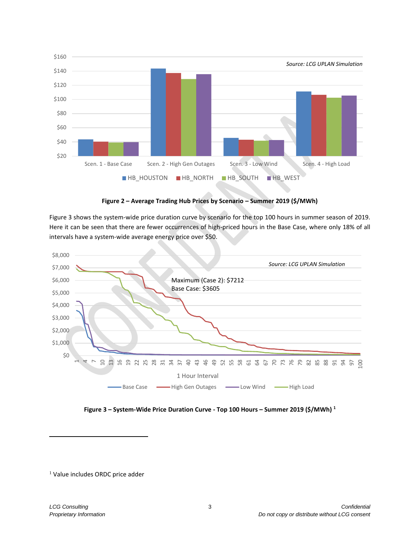

**Figure 2 – Average Trading Hub Prices by Scenario – Summer 2019 (\$/MWh)**

<span id="page-6-0"></span>[Figure 3](#page-6-1) shows the system-wide price duration curve by scenario for the top 100 hours in summer season of 2019. Here it can be seen that there are fewer occurrences of high-priced hours in the Base Case, where only 18% of all intervals have a system-wide average energy price over \$50.



**Figure 3 – System-Wide Price Duration Curve - Top 100 Hours – Summer 2019 (\$/MWh) <sup>1</sup>**

<span id="page-6-1"></span> $\overline{a}$ 

<sup>&</sup>lt;sup>1</sup> Value includes ORDC price adder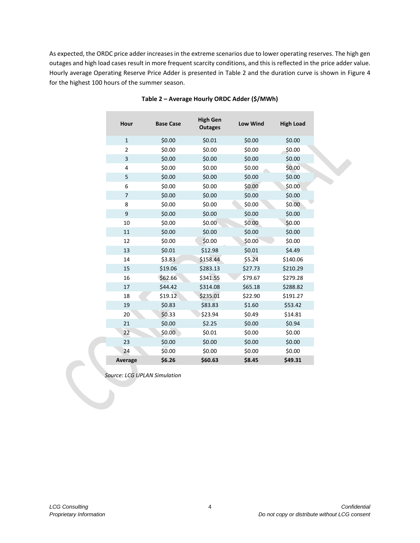<span id="page-7-0"></span>As expected, the ORDC price adder increases in the extreme scenarios due to lower operating reserves. The high gen outages and high load cases result in more frequent scarcity conditions, and this is reflected in the price adder value. Hourly average Operating Reserve Price Adder is presented in [Table 2](#page-7-0) and the duration curve is shown in [Figure 4](#page-8-0) for the highest 100 hours of the summer season.

| Hour           | <b>Base Case</b> | <b>High Gen</b><br><b>Outages</b> | <b>Low Wind</b> | <b>High Load</b> |
|----------------|------------------|-----------------------------------|-----------------|------------------|
| $\mathbf{1}$   | \$0.00           | \$0.01                            | \$0.00          | \$0.00           |
| $\overline{2}$ | \$0.00           | \$0.00                            | \$0.00          | \$0.00           |
| 3              | \$0.00           | \$0.00                            | \$0.00          | \$0.00           |
| 4              | \$0.00           | \$0.00                            | \$0.00          | \$0.00           |
| 5              | \$0.00           | \$0.00                            | \$0.00          | \$0.00           |
| 6              | \$0.00           | \$0.00                            | \$0.00          | \$0.00           |
| $\overline{7}$ | \$0.00           | \$0.00                            | \$0.00          | \$0.00           |
| 8              | \$0.00           | \$0.00                            | \$0.00          | \$0.00           |
| 9              | \$0.00           | \$0.00                            | \$0.00          | \$0.00           |
| 10             | \$0.00           | \$0.00                            | \$0.00          | \$0.00           |
| 11             | \$0.00           | \$0.00                            | \$0.00          | \$0.00           |
| 12             | \$0.00           | \$0.00                            | \$0.00          | \$0.00           |
| 13             | \$0.01           | \$12.98                           | \$0.01          | \$4.49           |
| 14             | \$3.83           | \$158.44                          | \$5.24          | \$140.06         |
| 15             | \$19.06          | \$283.13                          | \$27.73         | \$210.29         |
| 16             | \$62.66          | \$341.55                          | \$79.67         | \$279.28         |
| 17             | \$44.42          | \$314.08                          | \$65.18         | \$288.82         |
| 18             | \$19.12          | \$235.01                          | \$22.90         | \$191.27         |
| 19             | \$0.83           | \$83.83                           | \$1.60          | \$53.42          |
| 20             | \$0.33           | \$23.94                           | \$0.49          | \$14.81          |
| 21             | \$0.00           | \$2.25                            | \$0.00          | \$0.94           |
| 22             | \$0.00           | \$0.01                            | \$0.00          | \$0.00           |
| 23             | \$0.00           | \$0.00                            | \$0.00          | \$0.00           |
| 24             | \$0.00           | \$0.00                            | \$0.00          | \$0.00           |
| Average        | \$6.26           | \$60.63                           | \$8.45          | \$49.31          |

#### **Table 2 – Average Hourly ORDC Adder (\$/MWh)**

*Source: LCG UPLAN Simulation*